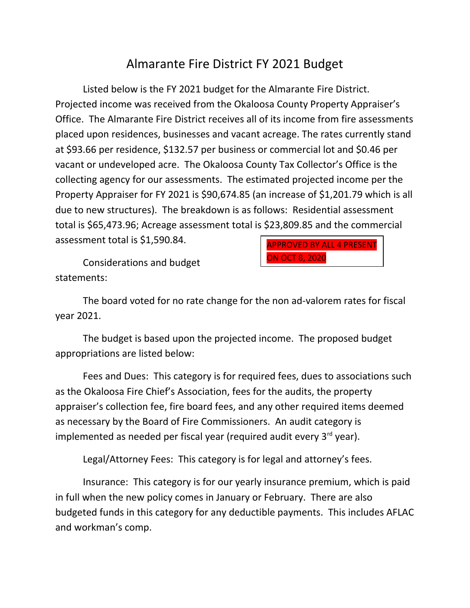## Almarante Fire District FY 2021 Budget

Listed below is the FY 2021 budget for the Almarante Fire District. Projected income was received from the Okaloosa County Property Appraiser's Office. The Almarante Fire District receives all of its income from fire assessments placed upon residences, businesses and vacant acreage. The rates currently stand at \$93.66 per residence, \$132.57 per business or commercial lot and \$0.46 per vacant or undeveloped acre. The Okaloosa County Tax Collector's Office is the collecting agency for our assessments. The estimated projected income per the Property Appraiser for FY 2021 is \$90,674.85 (an increase of \$1,201.79 which is all due to new structures). The breakdown is as follows: Residential assessment total is \$65,473.96; Acreage assessment total is \$23,809.85 and the commercial assessment total is \$1,590.84. APPROVED BY ALL 4 PRESENT

Considerations and budget statements:

The board voted for no rate change for the non ad-valorem rates for fiscal year 2021.

ON OCT 8, 2020

The budget is based upon the projected income. The proposed budget appropriations are listed below:

Fees and Dues: This category is for required fees, dues to associations such as the Okaloosa Fire Chief's Association, fees for the audits, the property appraiser's collection fee, fire board fees, and any other required items deemed as necessary by the Board of Fire Commissioners. An audit category is implemented as needed per fiscal year (required audit every  $3^{rd}$  year).

Legal/Attorney Fees: This category is for legal and attorney's fees.

Insurance: This category is for our yearly insurance premium, which is paid in full when the new policy comes in January or February. There are also budgeted funds in this category for any deductible payments. This includes AFLAC and workman's comp.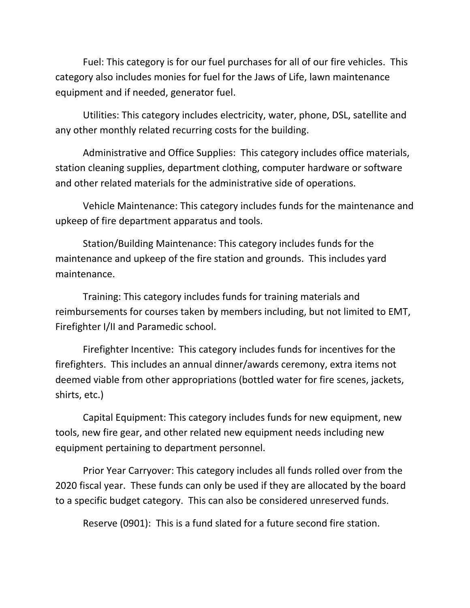Fuel: This category is for our fuel purchases for all of our fire vehicles. This category also includes monies for fuel for the Jaws of Life, lawn maintenance equipment and if needed, generator fuel.

Utilities: This category includes electricity, water, phone, DSL, satellite and any other monthly related recurring costs for the building.

Administrative and Office Supplies: This category includes office materials, station cleaning supplies, department clothing, computer hardware or software and other related materials for the administrative side of operations.

Vehicle Maintenance: This category includes funds for the maintenance and upkeep of fire department apparatus and tools.

Station/Building Maintenance: This category includes funds for the maintenance and upkeep of the fire station and grounds. This includes yard maintenance.

Training: This category includes funds for training materials and reimbursements for courses taken by members including, but not limited to EMT, Firefighter I/II and Paramedic school.

Firefighter Incentive: This category includes funds for incentives for the firefighters. This includes an annual dinner/awards ceremony, extra items not deemed viable from other appropriations (bottled water for fire scenes, jackets, shirts, etc.)

Capital Equipment: This category includes funds for new equipment, new tools, new fire gear, and other related new equipment needs including new equipment pertaining to department personnel.

Prior Year Carryover: This category includes all funds rolled over from the 2020 fiscal year. These funds can only be used if they are allocated by the board to a specific budget category. This can also be considered unreserved funds.

Reserve (0901): This is a fund slated for a future second fire station.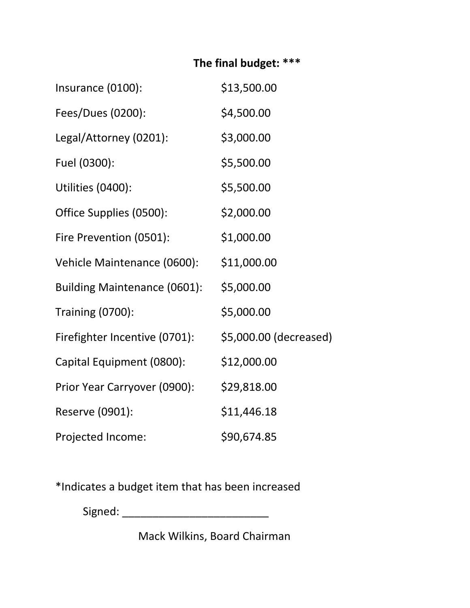## **The final budget: \*\*\***

| Insurance (0100):             | \$13,500.00            |
|-------------------------------|------------------------|
| Fees/Dues (0200):             | \$4,500.00             |
| Legal/Attorney (0201):        | \$3,000.00             |
| Fuel (0300):                  | \$5,500.00             |
| Utilities (0400):             | \$5,500.00             |
| Office Supplies (0500):       | \$2,000.00             |
| Fire Prevention (0501):       | \$1,000.00             |
| Vehicle Maintenance (0600):   | \$11,000.00            |
| Building Maintenance (0601):  | \$5,000.00             |
| <b>Training (0700):</b>       | \$5,000.00             |
| Firefighter Incentive (0701): | \$5,000.00 (decreased) |
| Capital Equipment (0800):     | \$12,000.00            |
| Prior Year Carryover (0900):  | \$29,818.00            |
| Reserve (0901):               | \$11,446.18            |
| Projected Income:             | \$90,674.85            |

\*Indicates a budget item that has been increased

Signed: \_\_\_\_\_\_\_\_\_\_\_\_\_\_\_\_\_\_\_\_\_\_\_\_

Mack Wilkins, Board Chairman